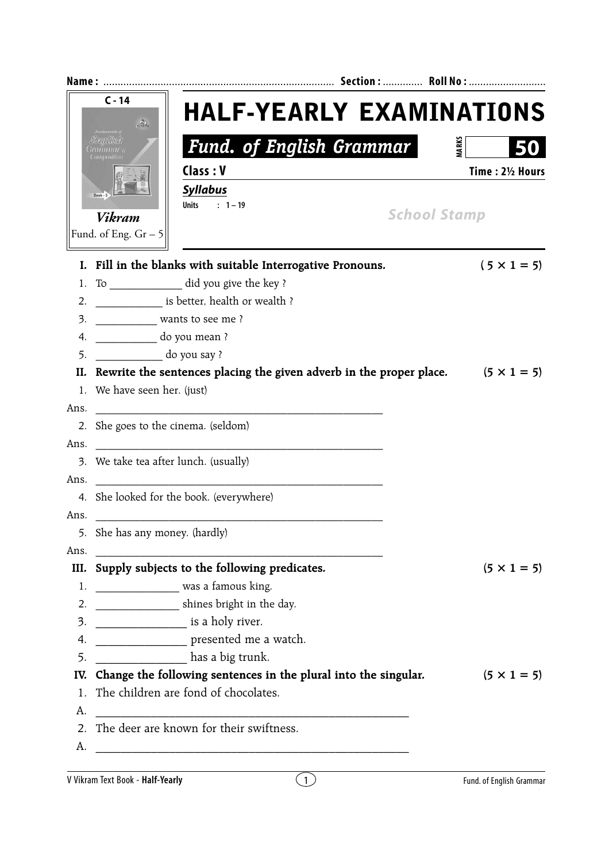|                  | $C - 14$<br>D.                 | <b>HALF-YEARLY EXAMINATIONS</b>                                                        |              |                    |  |  |  |
|------------------|--------------------------------|----------------------------------------------------------------------------------------|--------------|--------------------|--|--|--|
|                  |                                | <b>Fund. of English Grammar</b>                                                        | <b>MARKS</b> |                    |  |  |  |
|                  |                                | Class: V                                                                               |              | Time: 21/2 Hours   |  |  |  |
|                  |                                | <b>Syllabus</b>                                                                        |              |                    |  |  |  |
|                  | Vikram                         | <b>Units</b><br>$: 1 - 19$<br><b>School Stamp</b>                                      |              |                    |  |  |  |
|                  | Fund. of Eng. $Gr - 5$         |                                                                                        |              |                    |  |  |  |
|                  |                                | I. Fill in the blanks with suitable Interrogative Pronouns.                            |              | $(5 \times 1 = 5)$ |  |  |  |
| 1.               |                                | To ______________ did you give the key ?                                               |              |                    |  |  |  |
| 2.               |                                | is better, health or wealth ?                                                          |              |                    |  |  |  |
| 3.               | wants to see me?               |                                                                                        |              |                    |  |  |  |
| 4.               | do you mean?                   |                                                                                        |              |                    |  |  |  |
| 5.               | do you say ?                   |                                                                                        |              |                    |  |  |  |
| II.              |                                | Rewrite the sentences placing the given adverb in the proper place. $(5 \times 1 = 5)$ |              |                    |  |  |  |
|                  | 1. We have seen her. (just)    |                                                                                        |              |                    |  |  |  |
| Ans.             |                                |                                                                                        |              |                    |  |  |  |
| 2.               |                                | She goes to the cinema. (seldom)                                                       |              |                    |  |  |  |
| Ans.             |                                |                                                                                        |              |                    |  |  |  |
| 3.               |                                | We take tea after lunch. (usually)                                                     |              |                    |  |  |  |
| Ans.             |                                |                                                                                        |              |                    |  |  |  |
|                  |                                | 4. She looked for the book. (everywhere)                                               |              |                    |  |  |  |
| Ans.             |                                |                                                                                        |              |                    |  |  |  |
|                  | 5. She has any money. (hardly) |                                                                                        |              |                    |  |  |  |
| Ans.             |                                |                                                                                        |              |                    |  |  |  |
| III.             |                                | Supply subjects to the following predicates.                                           |              | $(5 \times 1 = 5)$ |  |  |  |
|                  |                                | 1. ___________________ was a famous king.                                              |              |                    |  |  |  |
| 2.               |                                | shines bright in the day.                                                              |              |                    |  |  |  |
| 3.<br>4.         |                                | is a holy river.<br>presented me a watch.                                              |              |                    |  |  |  |
| 5.               |                                | has a big trunk.                                                                       |              |                    |  |  |  |
| IV.              |                                | Change the following sentences in the plural into the singular.                        |              | $(5 \times 1 = 5)$ |  |  |  |
| 1.               |                                | The children are fond of chocolates.                                                   |              |                    |  |  |  |
| А.               |                                |                                                                                        |              |                    |  |  |  |
| $\overline{2}$ . |                                | The deer are known for their swiftness.                                                |              |                    |  |  |  |
| А.               |                                |                                                                                        |              |                    |  |  |  |
|                  |                                |                                                                                        |              |                    |  |  |  |